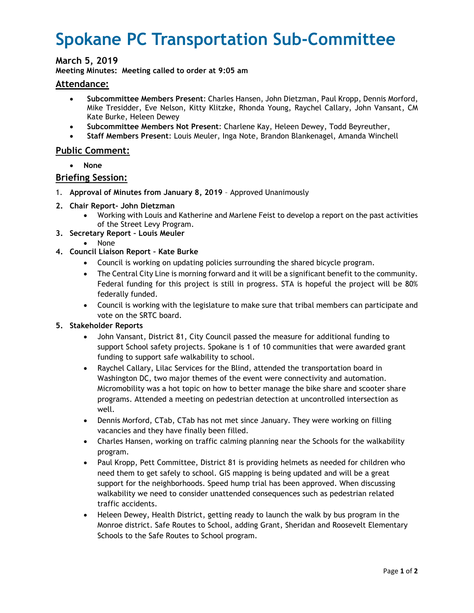# **Spokane PC Transportation Sub-Committee**

### **March 5, 2019**

**Meeting Minutes: Meeting called to order at 9:05 am**

#### **Attendance:**

- **Subcommittee Members Present**: Charles Hansen, John Dietzman, Paul Kropp, Dennis Morford, Mike Tresidder, Eve Nelson, Kitty Klitzke, Rhonda Young, Raychel Callary, John Vansant, CM Kate Burke, Heleen Dewey
- **Subcommittee Members Not Present**: Charlene Kay, Heleen Dewey, Todd Beyreuther,
- **Staff Members Present**: Louis Meuler, Inga Note, Brandon Blankenagel, Amanda Winchell

#### **Public Comment:**

**None** 

#### **Briefing Session:**

1. **Approval of Minutes from January 8, 2019** – Approved Unanimously

#### **2. Chair Report- John Dietzman**

- Working with Louis and Katherine and Marlene Feist to develop a report on the past activities of the Street Levy Program.
- **3. Secretary Report – Louis Meuler**
	- None
- **4. Council Liaison Report – Kate Burke**
	- Council is working on updating policies surrounding the shared bicycle program.
	- The Central City Line is morning forward and it will be a significant benefit to the community. Federal funding for this project is still in progress. STA is hopeful the project will be 80% federally funded.
	- Council is working with the legislature to make sure that tribal members can participate and vote on the SRTC board.

#### **5. Stakeholder Reports**

- John Vansant, District 81, City Council passed the measure for additional funding to support School safety projects. Spokane is 1 of 10 communities that were awarded grant funding to support safe walkability to school.
- Raychel Callary, Lilac Services for the Blind, attended the transportation board in Washington DC, two major themes of the event were connectivity and automation. Micromobility was a hot topic on how to better manage the bike share and scooter share programs. Attended a meeting on pedestrian detection at uncontrolled intersection as well.
- Dennis Morford, CTab, CTab has not met since January. They were working on filling vacancies and they have finally been filled.
- Charles Hansen, working on traffic calming planning near the Schools for the walkability program.
- Paul Kropp, Pett Committee, District 81 is providing helmets as needed for children who need them to get safely to school. GIS mapping is being updated and will be a great support for the neighborhoods. Speed hump trial has been approved. When discussing walkability we need to consider unattended consequences such as pedestrian related traffic accidents.
- Heleen Dewey, Health District, getting ready to launch the walk by bus program in the Monroe district. Safe Routes to School, adding Grant, Sheridan and Roosevelt Elementary Schools to the Safe Routes to School program.